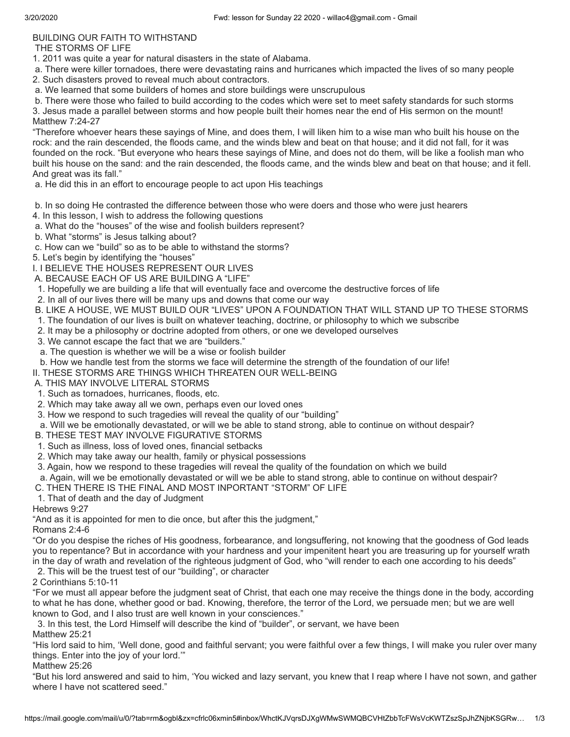## BUILDING OUR FAITH TO WITHSTAND

THE STORMS OF LIFE

1. 2011 was quite a year for natural disasters in the state of Alabama.

 a. There were killer tornadoes, there were devastating rains and hurricanes which impacted the lives of so many people 2. Such disasters proved to reveal much about contractors.

a. We learned that some builders of homes and store buildings were unscrupulous

 b. There were those who failed to build according to the codes which were set to meet safety standards for such storms 3. Jesus made a parallel between storms and how people built their homes near the end of His sermon on the mount! Matthew 7:24-27

"Therefore whoever hears these sayings of Mine, and does them, I will liken him to a wise man who built his house on the rock: and the rain descended, the floods came, and the winds blew and beat on that house; and it did not fall, for it was founded on the rock. "But everyone who hears these sayings of Mine, and does not do them, will be like a foolish man who built his house on the sand: and the rain descended, the floods came, and the winds blew and beat on that house; and it fell. And great was its fall."

## a. He did this in an effort to encourage people to act upon His teachings

b. In so doing He contrasted the difference between those who were doers and those who were just hearers

- 4. In this lesson, I wish to address the following questions
- a. What do the "houses" of the wise and foolish builders represent?
- b. What "storms" is Jesus talking about?
- c. How can we "build" so as to be able to withstand the storms?

5. Let's begin by identifying the "houses"

I. I BELIEVE THE HOUSES REPRESENT OUR LIVES

- A. BECAUSE EACH OF US ARE BUILDING A "LIFE"
- 1. Hopefully we are building a life that will eventually face and overcome the destructive forces of life
- 2. In all of our lives there will be many ups and downs that come our way
- B. LIKE A HOUSE, WE MUST BUILD OUR "LIVES" UPON A FOUNDATION THAT WILL STAND UP TO THESE STORMS
- 1. The foundation of our lives is built on whatever teaching, doctrine, or philosophy to which we subscribe
- 2. It may be a philosophy or doctrine adopted from others, or one we developed ourselves
- 3. We cannot escape the fact that we are "builders."
- a. The question is whether we will be a wise or foolish builder
- b. How we handle test from the storms we face will determine the strength of the foundation of our life!

II. THESE STORMS ARE THINGS WHICH THREATEN OUR WELL-BEING

A. THIS MAY INVOLVE LITERAL STORMS

- 1. Such as tornadoes, hurricanes, floods, etc.
- 2. Which may take away all we own, perhaps even our loved ones
- 3. How we respond to such tragedies will reveal the quality of our "building"
- a. Will we be emotionally devastated, or will we be able to stand strong, able to continue on without despair?
- B. THESE TEST MAY INVOLVE FIGURATIVE STORMS
- 1. Such as illness, loss of loved ones, financial setbacks
- 2. Which may take away our health, family or physical possessions
- 3. Again, how we respond to these tragedies will reveal the quality of the foundation on which we build
- a. Again, will we be emotionally devastated or will we be able to stand strong, able to continue on without despair?
- C. THEN THERE IS THE FINAL AND MOST INPORTANT "STORM" OF LIFE
- 1. That of death and the day of Judgment

Hebrews 9:27

"And as it is appointed for men to die once, but after this the judgment,"

Romans 2:4-6

"Or do you despise the riches of His goodness, forbearance, and longsuffering, not knowing that the goodness of God leads you to repentance? But in accordance with your hardness and your impenitent heart you are treasuring up for yourself wrath in the day of wrath and revelation of the righteous judgment of God, who "will render to each one according to his deeds" 2. This will be the truest test of our "building", or character

2 Corinthians 5:10-11

"For we must all appear before the judgment seat of Christ, that each one may receive the things done in the body, according to what he has done, whether good or bad. Knowing, therefore, the terror of the Lord, we persuade men; but we are well known to God, and I also trust are well known in your consciences."

3. In this test, the Lord Himself will describe the kind of "builder", or servant, we have been

Matthew 25:21

"His lord said to him, 'Well done, good and faithful servant; you were faithful over a few things, I will make you ruler over many things. Enter into the joy of your lord.'"

Matthew 25:26

"But his lord answered and said to him, 'You wicked and lazy servant, you knew that I reap where I have not sown, and gather where I have not scattered seed."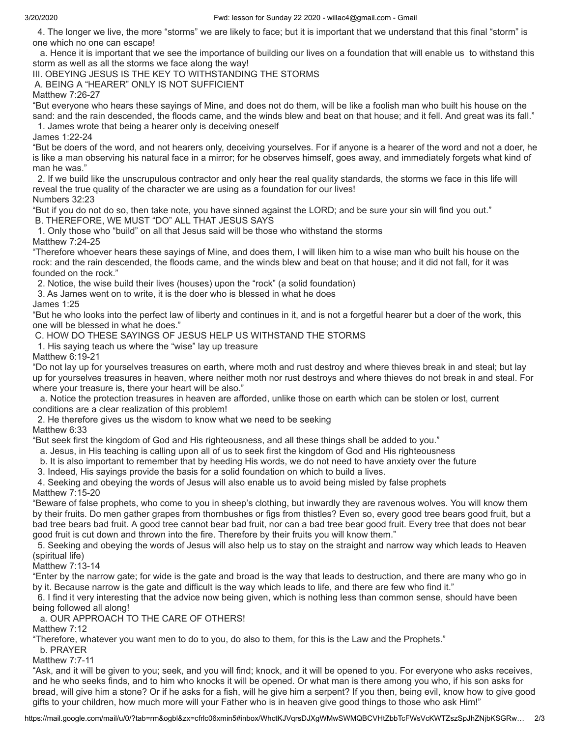4. The longer we live, the more "storms" we are likely to face; but it is important that we understand that this final "storm" is one which no one can escape!

 a. Hence it is important that we see the importance of building our lives on a foundation that will enable us to withstand this storm as well as all the storms we face along the way!

III. OBEYING JESUS IS THE KEY TO WITHSTANDING THE STORMS

A. BEING A "HEARER" ONLY IS NOT SUFFICIENT

Matthew 7:26-27

"But everyone who hears these sayings of Mine, and does not do them, will be like a foolish man who built his house on the sand: and the rain descended, the floods came, and the winds blew and beat on that house; and it fell. And great was its fall."

1. James wrote that being a hearer only is deceiving oneself

James 1:22-24

"But be doers of the word, and not hearers only, deceiving yourselves. For if anyone is a hearer of the word and not a doer, he is like a man observing his natural face in a mirror; for he observes himself, goes away, and immediately forgets what kind of man he was."

 2. If we build like the unscrupulous contractor and only hear the real quality standards, the storms we face in this life will reveal the true quality of the character we are using as a foundation for our lives! Numbers 32:23

"But if you do not do so, then take note, you have sinned against the LORD; and be sure your sin will find you out."

B. THEREFORE, WE MUST "DO" ALL THAT JESUS SAYS

 1. Only those who "build" on all that Jesus said will be those who withstand the storms Matthew 7:24-25

"Therefore whoever hears these sayings of Mine, and does them, I will liken him to a wise man who built his house on the rock: and the rain descended, the floods came, and the winds blew and beat on that house; and it did not fall, for it was founded on the rock."

2. Notice, the wise build their lives (houses) upon the "rock" (a solid foundation)

3. As James went on to write, it is the doer who is blessed in what he does

James 1:25

"But he who looks into the perfect law of liberty and continues in it, and is not a forgetful hearer but a doer of the work, this one will be blessed in what he does."

C. HOW DO THESE SAYINGS OF JESUS HELP US WITHSTAND THE STORMS

1. His saying teach us where the "wise" lay up treasure

Matthew 6:19-21

"Do not lay up for yourselves treasures on earth, where moth and rust destroy and where thieves break in and steal; but lay up for yourselves treasures in heaven, where neither moth nor rust destroys and where thieves do not break in and steal. For where your treasure is, there your heart will be also."

 a. Notice the protection treasures in heaven are afforded, unlike those on earth which can be stolen or lost, current conditions are a clear realization of this problem!

2. He therefore gives us the wisdom to know what we need to be seeking

## Matthew 6:33

"But seek first the kingdom of God and His righteousness, and all these things shall be added to you."

a. Jesus, in His teaching is calling upon all of us to seek first the kingdom of God and His righteousness

b. It is also important to remember that by heeding His words, we do not need to have anxiety over the future

3. Indeed, His sayings provide the basis for a solid foundation on which to build a lives.

 4. Seeking and obeying the words of Jesus will also enable us to avoid being misled by false prophets Matthew 7:15-20

"Beware of false prophets, who come to you in sheep's clothing, but inwardly they are ravenous wolves. You will know them by their fruits. Do men gather grapes from thornbushes or figs from thistles? Even so, every good tree bears good fruit, but a bad tree bears bad fruit. A good tree cannot bear bad fruit, nor can a bad tree bear good fruit. Every tree that does not bear good fruit is cut down and thrown into the fire. Therefore by their fruits you will know them."

 5. Seeking and obeying the words of Jesus will also help us to stay on the straight and narrow way which leads to Heaven (spiritual life)

Matthew 7:13-14

"Enter by the narrow gate; for wide is the gate and broad is the way that leads to destruction, and there are many who go in by it. Because narrow is the gate and difficult is the way which leads to life, and there are few who find it."

 6. I find it very interesting that the advice now being given, which is nothing less than common sense, should have been being followed all along!

a. OUR APPROACH TO THE CARE OF OTHERS!

Matthew 7:12

"Therefore, whatever you want men to do to you, do also to them, for this is the Law and the Prophets."

b. PRAYER

Matthew 7:7-11

"Ask, and it will be given to you; seek, and you will find; knock, and it will be opened to you. For everyone who asks receives, and he who seeks finds, and to him who knocks it will be opened. Or what man is there among you who, if his son asks for bread, will give him a stone? Or if he asks for a fish, will he give him a serpent? If you then, being evil, know how to give good gifts to your children, how much more will your Father who is in heaven give good things to those who ask Him!"